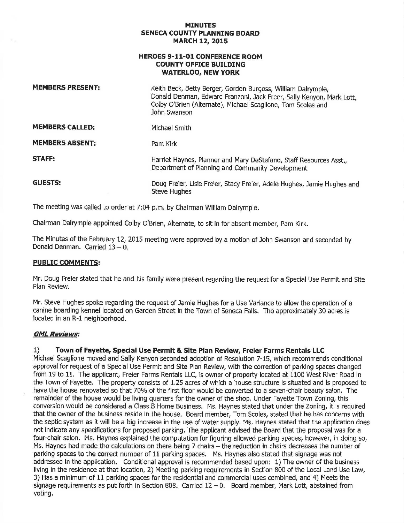#### **MINUTES SENECA COUNTY PLANNING BOARD MARCH 12, 2015**

### **HEROES 9-11-01 CONFERENCE ROOM COUNTY OFFICE BUILDING WATERLOO, NEW YORK**

| <b>MEMBERS PRESENT:</b> | Keith Beck, Betty Berger, Gordon Burgess, William Dalrymple,<br>Donald Denman, Edward Franzoni, Jack Freer, Sally Kenyon, Mark Lott,<br>Colby O'Brien (Alternate), Michael Scaglione, Tom Scoles and<br>John Swanson |
|-------------------------|----------------------------------------------------------------------------------------------------------------------------------------------------------------------------------------------------------------------|
| <b>MEMBERS CALLED:</b>  | Michael Smith                                                                                                                                                                                                        |
| <b>MEMBERS ABSENT:</b>  | Pam Kirk                                                                                                                                                                                                             |
| <b>STAFF:</b>           | Harriet Haynes, Planner and Mary DeStefano, Staff Resources Asst.,<br>Department of Planning and Community Development                                                                                               |
| <b>GUESTS:</b>          | Doug Freier, Lisie Freier, Stacy Freier, Adele Hughes, Jamie Hughes and<br><b>Steve Hughes</b>                                                                                                                       |

The meeting was called to order at 7:04 p.m. by Chairman William Dalrymple.

Chairman Dalrymple appointed Colby O'Brien, Alternate, to sit in for absent member, Pam Kirk.

The Minutes of the February 12, 2015 meeting were approved by a motion of John Swanson and seconded by Donald Denman. Carried  $13 - 0$ .

#### **PUBLIC COMMENTS:**

Mr. Doug Freier stated that he and his family were present regarding the request for a Special Use Permit and Site Pian Review.

Mr. Steve Hughes spoke regarding the request of Jamie Hughes for a Use Variance to allow the operation of a canine boarding kennel located on Garden Street in the Town of Seneca Falls. The approximately 30 acres is located in an R-1 neighborhood.

#### **GML Reviews:**

# 1) **Town of Fayette, Special Use Permit & Site Plan Review, Freier Farms Rentals LLC**

Michael Scaglione moved and Sally Kenyon seconded adoption of Resolution 7-15, which recommends conditional approval for request of a Special Use Permit and Site Plan Review, with the correction of parking spaces changed from 19 to 11. The applicant, Freier Farms Rentals LLC, is owner of property located at 1100 West River Road in the Town of Fayette. The property consists of 1.25 acres of which a house structure is situated and is proposed to have the house renovated so that 70% of the first floor would be converted to a seven-chair beauty salon. The remainder of the house would be living quarters for the owner of the shop. Under Fayette Town Zoning, this conversion would be considered a Class B Home Business. Ms. Haynes stated that under the Zoning, it is required that the owner of the business reside in the house. Board member, Tom Scoles, stated that he has concerns with the septic system as it will be a big increase in the use of water supply. Ms. Haynes stated that the application does not indicate any specifications for proposed parking. The applicant advised the Board that the proposal was for a four-chair salon. Ms. Haynes explained the computation for figuring allowed parking spaces; however, in doing so, Ms. Haynes had made the calculations on there being 7 chairs - the reduction in chairs decreases the number of parking spaces to the correct number of 11 parking spaces. Ms. Haynes also stated that signage was not addressed in the application. Conditional approval is recommended based upon: 1) The owner of the business living in the residence at that location, 2) Meeting parking requirements in Section 800 of the Local Land Use Law, 3) Has a minimum of 11 parking spaces for the residential and commercial uses combined, and 4) Meets the signage requirements as put forth in Section 808. Carried  $12 - 0$ . Board member, Mark Lott, abstained from voting.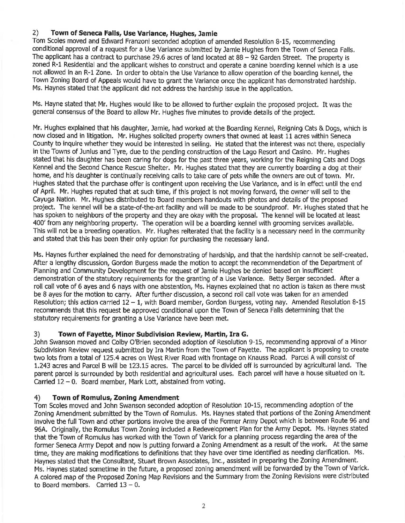# 2) **Town of Seneca Falls, Use Variance, Hughes, Jamie**

Tom Scoles moved and Edward Franzoni seconded adoption of amended Resolution 8-15, recommending conditional approval of a request for a Use Variance submitted by Jamie Hughes from the Town of Seneca Falls. The applicant has a contract to purchase 29.6 acres of land located at 88 - 92 Garden Street. The property is zoned R-1 Residential and the applicant wishes to construct and operate a canine boarding kennel which is a use not allowed in an R-1 Zone. In order to obtain the Use Variance to allow operation of the boarding kennel, the Town Zoning Board of Appeals would have to grant the Variance once the applicant has demonstrated hardship. Ms. Haynes stated that the applicant did not address the hardshlp issue in the application.

Ms. Hayne stated that Mr. Hughes would like to be allowed to further explain the proposed project. It was the general consensus of the Board to allow Mr. Hughes five minutes to provide details of the project.

Mr. Hughes explained that his daughter, Jamie, had worked at the Boarding Kennel, Reigning Cats & Dogs, which is now closed and in litigation. Mr. Hughes solicited property owners that owned at least 11 acres within Seneca County to inquire whether they would be Interested in selling. He stated that the interest was not there, especially in the Towns of Junius and Tyre, due to the pending construction of the Lago Resort and casino. Mr. Hughes stated that his daughter has been caring for dogs for the past three years, working for the Reigning Cats and Dogs Kennel and the Second Chance Rescue Shelter. Mr. Hughes stated that they are currently boarding a dog at their home, and his daughter is continually receiving calls to take care of pets while the owners are out of town. Mr. Hughes stated that the purchase offer is contingent upon receiving the Use Variance, and is in effect until the end of April. Mr. Hughes reputed that at such time, if this project Is not moving forward, the owner will sell to the Cayuga Nation. Mr. Hughes distributed to Board members handouts with photos and details of the proposed project. The kennel will be a state-of-the-art facility and will be made to be soundproof. Mr. Hughes stated that he has spoken to neighbors of the property and they are okay with the proposal. The kennel will be located at least 400' from any neighboring property. The operation will be a boarding kennel with grooming services available. This will not be a breeding operation. Mr. Hughes reiterated that the facility is a necessary need in the community and stated that this has been their only option for purchasing the necessary land.

Ms. Haynes further explained the need for demonstrating of hardship, and that the hardship cannot be self-created. After a lengthy discussion, Gordon Burgess made the motion to accept the recommendation of the Department of Planning and Community Development for the request of Jamie Hughes be denied based on insufficient demonstration of the statutory requirements for the granting of a Use Variance. Betty Berger seconded. After a roll call vote of 6 ayes and 6 nays with one abstention, Ms. Haynes explained that no action is taken as there must be 8 ayes for the motion to carry. After further discussion, a second roll call vote was taken for an amended Resolution; this action carried 12 - 1, with Board member, Gordon Burgess, voting nay. Amended Resolution 8-15 recommends that this request be approved conditional upon the Town of Seneca Falls determining that the statutory requirements for granting a Use Variance have been met.

# 3) **Town of Fayette, Minor Subdivision Review, Martin, Ira G.**

John Swanson moved and Colby O'Brien seconded adoption of Resolution 9-15, recommending approval of a Minor Subdivision Review request submitted by Ira Martin from the Town of Fayette. The applicant is proposing to create two lots from a total of 125.4 acres on West River Road with frontage on Knauss Road. Parcel A will consist of 1.243 acres and Parcel B will be 123.15 acres. The parcel to be divided off is surrounded by agricultural land. The parent parcel is surrounded by both residential and agricultural uses. Each parcel will have a house situated on it. Carried 12 - 0. Board member, Mark Lott, abstained from voting.

# 4) **Town of Romulus, Zoning Amendment**

Tom Scoles moved and John Swanson seconded adoption of Resolution 10-15, recommending adoption of the Zoning Amendment submitted by the Town of Romulus. Ms. Haynes stated that portions of the Zoning Amendment involve the full Town and other portions involve the area of the Former Army Depot which is between Route 96 and 96A. Originally, the Romulus Town Zoning included a Redevelopment Plan for the Army Depot. Ms. Haynes stated that the Town of Romulus has worked with the Town of Varick for a planning process regarding the area of the former Seneca Army Depot and now is putting forward a Zoning Amendment as a result of the work. At the same time, they are making modifications to definitions that they have over time identified as needing clarification. Ms. Haynes stated that the Consultant, Stuart Brown Associates, Inc., assisted in preparing the Zoning Amendment. Ms. Haynes stated sometime in the future, a proposed zoning amendment will be forwarded by the Town of Varick. A colored map of the Proposed Zoning Map Revisions and the Summary from the Zoning Revisions were distributed to Board members. Carried  $13 - 0$ .